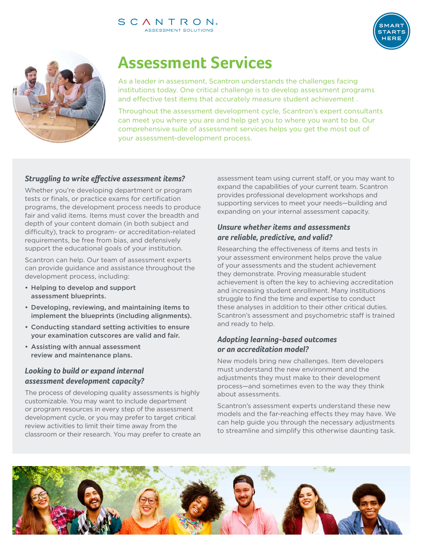

# **Assessment Services**

As a leader in assessment, Scantron understands the challenges facing institutions today. One critical challenge is to develop assessment programs and effective test items that accurately measure student achievement .

Throughout the assessment development cycle, Scantron's expert consultants can meet you where you are and help get you to where you want to be. Our comprehensive suite of assessment services helps you get the most out of your assessment-development process.

# *Struggling to write effective assessment items?*

Whether you're developing department or program tests or finals, or practice exams for certification programs, the development process needs to produce fair and valid items. Items must cover the breadth and depth of your content domain (in both subject and difficulty), track to program- or accreditation-related requirements, be free from bias, and defensively support the educational goals of your institution.

Scantron can help. Our team of assessment experts can provide guidance and assistance throughout the development process, including:

- Helping to develop and support assessment blueprints.
- Developing, reviewing, and maintaining items to implement the blueprints (including alignments).
- Conducting standard setting activities to ensure your examination cutscores are valid and fair.
- Assisting with annual assessment review and maintenance plans.

# *Looking to build or expand internal assessment development capacity?*

The process of developing quality assessments is highly customizable. You may want to include department or program resources in every step of the assessment development cycle, or you may prefer to target critical review activities to limit their time away from the classroom or their research. You may prefer to create an assessment team using current staff, or you may want to expand the capabilities of your current team. Scantron provides professional development workshops and supporting services to meet your needs—building and expanding on your internal assessment capacity.

TART

## *Unsure whether items and assessments are reliable, predictive, and valid?*

Researching the effectiveness of items and tests in your assessment environment helps prove the value of your assessments and the student achievement they demonstrate. Proving measurable student achievement is often the key to achieving accreditation and increasing student enrollment. Many institutions struggle to find the time and expertise to conduct these analyses in addition to their other critical duties. Scantron's assessment and psychometric staff is trained and ready to help.

# *Adopting learning-based outcomes or an accreditation model?*

New models bring new challenges. Item developers must understand the new environment and the adjustments they must make to their development process—and sometimes even to the way they think about assessments.

Scantron's assessment experts understand these new models and the far-reaching effects they may have. We can help guide you through the necessary adjustments to streamline and simplify this otherwise daunting task.

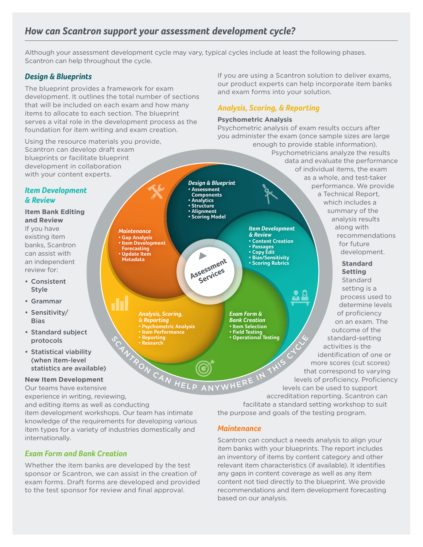# *How can Scantron support your assessment development cycle?*

*Analysis, Scoring, & Reporting*

*Maintenance* **ï Gap Analysis ï Item Development Forecasting ï Update Item Metadata**

10

**ï Psychometric Analysis ï Item Performance ï Reporting ï Research**

Although your assessment development cycle may vary, typical cycles include at least the following phases. Scantron can help throughout the cycle.

**ï Assessment** 

**ï Analytics ï Structure ï Alignment**

 $\blacktriangleright$ 

sessmer<br>Services

## *Design & Blueprints*

The blueprint provides a framework for exam development. It outlines the total number of sections that will be included on each exam and how many items to allocate to each section. The blueprint serves a vital role in the development process as the foundation for item writing and exam creation.

Using the resource materials you provide, Scantron can develop draft exam blueprints or facilitate blueprint development in collaboration with your content experts.

## *Item Development & Review*

**Item Bank Editing and Review** If you have existing item banks, Scantron can assist with an independent review for:

- Consistent Style
- Grammar
- Sensitivity/ Bias
- Standard subject protocols
- Statistical viability (when item-level statistics are available)

#### **New Item Development**

Our teams have extensive experience in writing, reviewing,

and editing items as well as conducting

item development workshops. Our team has intimate knowledge of the requirements for developing various item types for a variety of industries domestically and internationally.

# *Exam Form and Bank Creation*

Whether the item banks are developed by the test sponsor or Scantron, we can assist in the creation of exam forms. Draft forms are developed and provided to the test sponsor for review and final approval.

If you are using a Scantron solution to deliver exams, our product experts can help incorporate item banks and exam forms into your solution.

# *Analysis, Scoring, & Reporting*

#### **Psychometric Analysis**

Psychometric analysis of exam results occurs after you administer the exam (once sample sizes are large enough to provide stable information). Psychometricians analyze the results data and evaluate the performance of individual items, the exam as a whole, and test-taker *Design & Blueprint* performance. We provide a Technical Report, **Components** which includes a summary of the **ï Scoring Model** analysis results along with *Item Development & Review* recommendations **ï Content Creation** for future **ï Passages ï Copy Edit ï Bias/Sensitivity ï Scoring Rubrics** development. Assessment

> *Exam Form & Bank Creation* **ï Item Selection ï Field Testing ï Operational Testing**

#### **Standard Setting** Standard setting is a process used to determine levels of proficiency on an exam. The outcome of the standard-setting activities is the identification of one or more scores (cut scores) that correspond to varying levels of proficiency. Proficiency levels can be used to support

FON CAN HELP ANYWHERE

accreditation reporting. Scantron can facilitate a standard setting workshop to suit the purpose and goals of the testing program.

### *Maintenance*

Scantron can conduct a needs analysis to align your item banks with your blueprints. The report includes an inventory of items by content category and other relevant item characteristics (if available). It identifies any gaps in content coverage as well as any item content not tied directly to the blueprint. We provide recommendations and item development forecasting based on our analysis.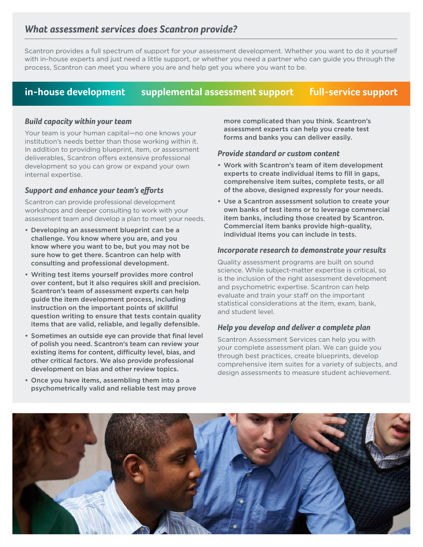# *What assessment services does Scantron provide?*

Scantron provides a full spectrum of support for your assessment development. Whether you want to do it yourself with in-house experts and just need a little support, or whether you need a partner who can guide you through the process, Scantron can meet you where you are and help get you where you want to be.

# **in-house development supplemental assessment support full-service support**

#### *Build capacity within your team*

Your team is your human capital—no one knows your institution's needs better than those working within it. In addition to providing blueprint, item, or assessment deliverables, Scantron offers extensive professional development so you can grow or expand your own internal expertise.

#### *Support and enhance your team's efforts*

Scantron can provide professional development workshops and deeper consulting to work with your assessment team and develop a plan to meet your needs.

- Developing an assessment blueprint can be a challenge. You know where you are, and you know where you want to be, but you may not be sure how to get there. Scantron can help with consulting and professional development.
- Writing test items yourself provides more control over content, but it also requires skill and precision. Scantron's team of assessment experts can help guide the item development process, including instruction on the important points of skillful question writing to ensure that tests contain quality items that are valid, reliable, and legally defensible.
- Sometimes an outside eye can provide that final level of polish you need. Scantron's team can review your existing items for content, difficulty level, bias, and other critical factors. We also provide professional development on bias and other review topics.
- Once you have items, assembling them into a psychometrically valid and reliable test may prove

more complicated than you think. Scantron's assessment experts can help you create test forms and banks you can deliver easily.

#### *Provide standard or custom content*

- Work with Scantron's team of item development experts to create individual items to fill in gaps, comprehensive item suites, complete tests, or all of the above, designed expressly for your needs.
- Use a Scantron assessment solution to create your own banks of test items or to leverage commercial item banks, including those created by Scantron. Commercial item banks provide high-quality, individual items you can include in tests.

#### *Incorporate research to demonstrate your results*

Quality assessment programs are built on sound science. While subject-matter expertise is critical, so is the inclusion of the right assessment development and psychometric expertise. Scantron can help evaluate and train your staff on the important statistical considerations at the item, exam, bank, and student level.

#### *Help you develop and deliver a complete plan*

Scantron Assessment Services can help you with your complete assessment plan. We can guide you through best practices, create blueprints, develop comprehensive item suites for a variety of subjects, and design assessments to measure student achievement.